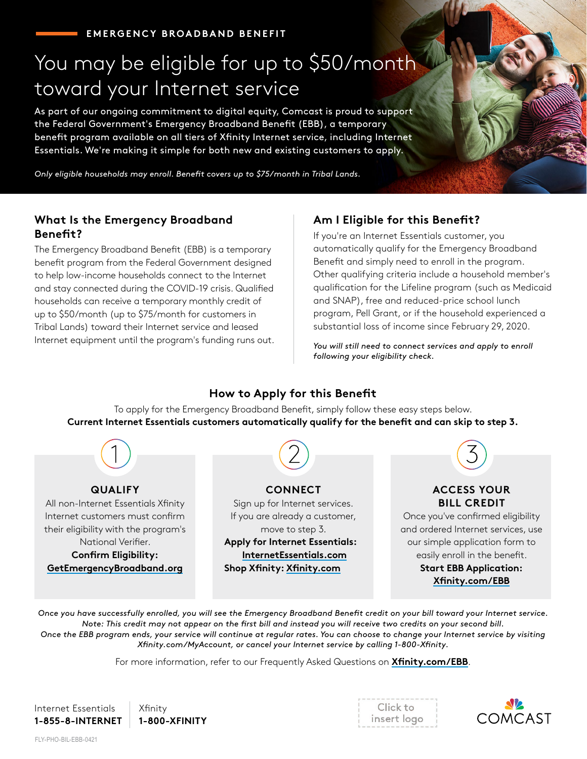# You may be eligible for up to \$50/month toward your Internet service

As part of our ongoing commitment to digital equity, Comcast is proud to support the Federal Government's Emergency Broadband Benefit (EBB), a temporary benefit program available on all tiers of Xfinity Internet service, including Internet Essentials. We're making it simple for both new and existing customers to apply.

*Only eligible households may enroll. Benefit covers up to \$75/month in Tribal Lands.*

#### **What Is the Emergency Broadband Benefit?**

The Emergency Broadband Benefit (EBB) is a temporary benefit program from the Federal Government designed to help low-income households connect to the Internet and stay connected during the COVID-19 crisis. Qualified households can receive a temporary monthly credit of up to \$50/month (up to \$75/month for customers in Tribal Lands) toward their Internet service and leased Internet equipment until the program's funding runs out.

## **Am I Eligible for this Benefit?**

If you're an Internet Essentials customer, you automatically qualify for the Emergency Broadband Benefit and simply need to enroll in the program. Other qualifying criteria include a household member's qualification for the Lifeline program (such as Medicaid and SNAP), free and reduced-price school lunch program, Pell Grant, or if the household experienced a substantial loss of income since February 29, 2020.

*You will still need to connect services and apply to enroll following your eligibility check.*

## **How to Apply for this Benefit**

To apply for the Emergency Broadband Benefit, simply follow these easy steps below. **Current Internet Essentials customers automatically qualify for the benefit and can skip to step 3.**



*Once you have successfully enrolled, you will see the Emergency Broadband Benefit credit on your bill toward your Internet service. Note: This credit may not appear on the first bill and instead you will receive two credits on your second bill. Once the EBB program ends, your service will continue at regular rates. You can choose to change your Internet service by visiting* 

*Xfinity.com/MyAccount, or cancel your Internet service by calling 1-800-Xfinity.*

For more information, refer to our Frequently Asked Questions on **[Xfinity.com/EBB](http://www.Xfinity.com/EBB)**.

Internet Essentials **1-855-8-INTERNET** Xfinity **1-800-XFINITY**

Click to insert logo